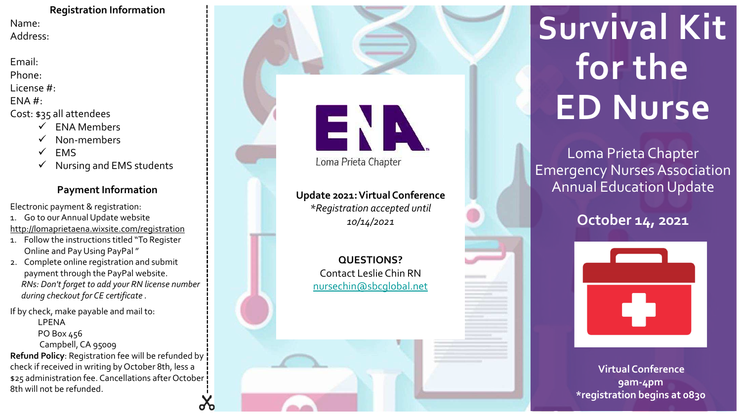**Registration Information** Name: Address:

Email:

Phone:

License #:

ENA #:

- Cost: \$35 all attendees
	- ✓ ENA Members
	- Non-members
	- **EMS**
	- ✓ Nursing and EMS students

#### **Payment Information**

Electronic payment & registration:

- 1. Go to our Annual Update website
- http://lomaprietaena.wixsite.com/registration
- 1. Follow the instructions titled "To Register Online and Pay Using PayPal "
- 2. Complete online registration and submit payment through the PayPal website. *RNs: Don't forget to add your RN license number during checkout for CE certificate .*

If by check, make payable and mail to:

- LPENA
- PO Box 456

Campbell, CA 95009

**Refund Policy**: Registration fee will be refunded by check if received in writing by October 8th, less a \$25 administration fee. Cancellations after October 8th will not be refunded.



**Update 2021: Virtual Conference** *\*Registration accepted until 10/14/2021*

> **QUESTIONS?** Contact Leslie Chin RN [nursechin@sbcglobal.net](mailto:nursechin@sbcglobal.net)

# **Survival Kit for the ED Nurse**

Loma Prieta Chapter Emergency Nurses Association Annual Education Update

### **October 14, 2021**



**Virtual Conference 9am-4pm \*registration begins at 0830**